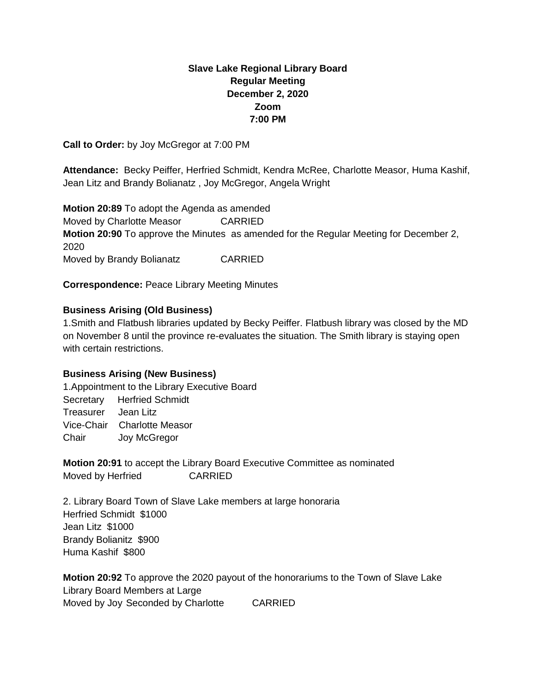# **Slave Lake Regional Library Board Regular Meeting December 2, 2020 Zoom 7:00 PM**

**Call to Order:** by Joy McGregor at 7:00 PM

**Attendance:** Becky Peiffer, Herfried Schmidt, Kendra McRee, Charlotte Measor, Huma Kashif, Jean Litz and Brandy Bolianatz , Joy McGregor, Angela Wright

**Motion 20:89** To adopt the Agenda as amended Moved by Charlotte Measor CARRIED **Motion 20:90** To approve the Minutes as amended for the Regular Meeting for December 2, 2020 Moved by Brandy Bolianatz **CARRIED** 

**Correspondence:** Peace Library Meeting Minutes

## **Business Arising (Old Business)**

1.Smith and Flatbush libraries updated by Becky Peiffer. Flatbush library was closed by the MD on November 8 until the province re-evaluates the situation. The Smith library is staying open with certain restrictions.

## **Business Arising (New Business)**

1.Appointment to the Library Executive Board Secretary Herfried Schmidt Treasurer Jean Litz Vice-Chair Charlotte Measor Chair Joy McGregor

**Motion 20:91** to accept the Library Board Executive Committee as nominated Moved by Herfried CARRIED

2. Library Board Town of Slave Lake members at large honoraria Herfried Schmidt \$1000 Jean Litz \$1000 Brandy Bolianitz \$900 Huma Kashif \$800

**Motion 20:92** To approve the 2020 payout of the honorariums to the Town of Slave Lake Library Board Members at Large Moved by Joy Seconded by Charlotte CARRIED